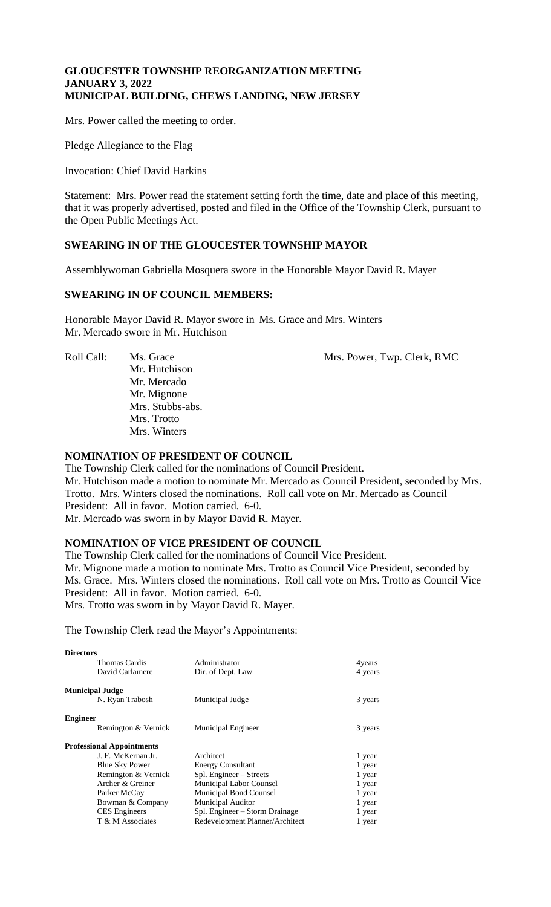### **GLOUCESTER TOWNSHIP REORGANIZATION MEETING JANUARY 3, 2022 MUNICIPAL BUILDING, CHEWS LANDING, NEW JERSEY**

Mrs. Power called the meeting to order.

Pledge Allegiance to the Flag

Invocation: Chief David Harkins

Statement: Mrs. Power read the statement setting forth the time, date and place of this meeting, that it was properly advertised, posted and filed in the Office of the Township Clerk, pursuant to the Open Public Meetings Act.

# **SWEARING IN OF THE GLOUCESTER TOWNSHIP MAYOR**

Assemblywoman Gabriella Mosquera swore in the Honorable Mayor David R. Mayer

# **SWEARING IN OF COUNCIL MEMBERS:**

Honorable Mayor David R. Mayor swore in Ms. Grace and Mrs. Winters Mr. Mercado swore in Mr. Hutchison

Roll Call: Ms. Grace Mrs. Power, Twp. Clerk, RMC Mr. Hutchison Mr. Mercado Mr. Mignone Mrs. Stubbs-abs. Mrs. Trotto Mrs. Winters

#### **NOMINATION OF PRESIDENT OF COUNCIL**

The Township Clerk called for the nominations of Council President. Mr. Hutchison made a motion to nominate Mr. Mercado as Council President, seconded by Mrs. Trotto. Mrs. Winters closed the nominations. Roll call vote on Mr. Mercado as Council President: All in favor. Motion carried. 6-0. Mr. Mercado was sworn in by Mayor David R. Mayer.

# **NOMINATION OF VICE PRESIDENT OF COUNCIL**

The Township Clerk called for the nominations of Council Vice President. Mr. Mignone made a motion to nominate Mrs. Trotto as Council Vice President, seconded by Ms. Grace. Mrs. Winters closed the nominations. Roll call vote on Mrs. Trotto as Council Vice President: All in favor. Motion carried. 6-0. Mrs. Trotto was sworn in by Mayor David R. Mayer.

The Township Clerk read the Mayor's Appointments:

| <b>Directors</b>       |                                  |                                 |         |
|------------------------|----------------------------------|---------------------------------|---------|
|                        | Thomas Cardis                    | Administrator                   | 4years  |
|                        | David Carlamere                  | Dir. of Dept. Law               | 4 years |
| <b>Municipal Judge</b> |                                  |                                 |         |
|                        | N. Ryan Trabosh                  | Municipal Judge                 | 3 years |
| <b>Engineer</b>        |                                  |                                 |         |
|                        | Remington & Vernick              | <b>Municipal Engineer</b>       | 3 years |
|                        | <b>Professional Appointments</b> |                                 |         |
|                        | J. F. McKernan Jr.               | Architect                       | 1 year  |
|                        | <b>Blue Sky Power</b>            | <b>Energy Consultant</b>        | 1 year  |
|                        | Remington & Vernick              | Spl. Engineer – Streets         | 1 year  |
|                        | Archer & Greiner                 | Municipal Labor Counsel         | 1 year  |
|                        | Parker McCay                     | <b>Municipal Bond Counsel</b>   | 1 year  |
|                        | Bowman & Company                 | <b>Municipal Auditor</b>        | 1 year  |
|                        | <b>CES</b> Engineers             | Spl. Engineer – Storm Drainage  | 1 year  |
|                        | T & M Associates                 | Redevelopment Planner/Architect | 1 year  |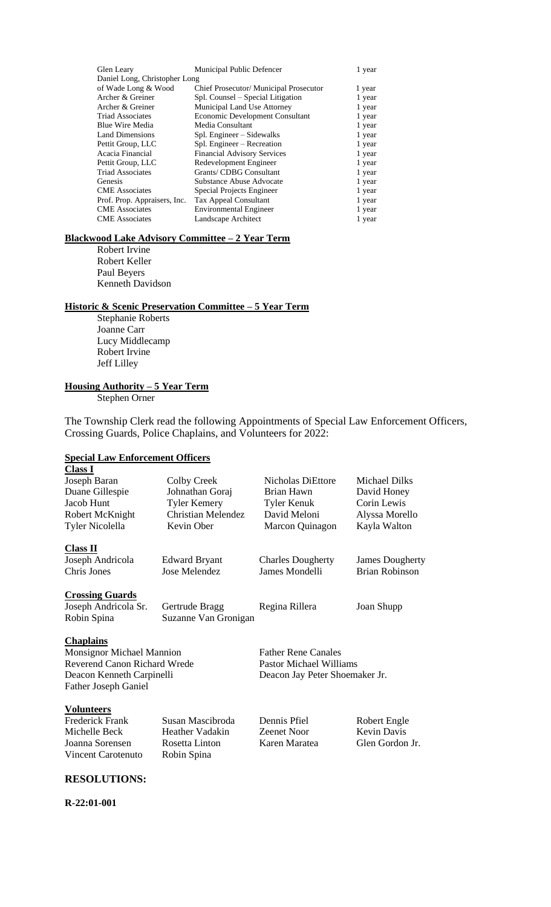| Glen Leary                    | Municipal Public Defencer              | 1 year |
|-------------------------------|----------------------------------------|--------|
| Daniel Long, Christopher Long |                                        |        |
| of Wade Long & Wood           | Chief Prosecutor/ Municipal Prosecutor | 1 year |
| Archer & Greiner              | Spl. Counsel – Special Litigation      | 1 year |
| Archer & Greiner              | Municipal Land Use Attorney            | 1 year |
| <b>Triad Associates</b>       | Economic Development Consultant        | 1 year |
| Blue Wire Media               | Media Consultant                       | 1 year |
| <b>Land Dimensions</b>        | Spl. Engineer – Sidewalks              | 1 year |
| Pettit Group, LLC             | Spl. Engineer – Recreation             | 1 year |
| Acacia Financial              | <b>Financial Advisory Services</b>     | 1 year |
| Pettit Group, LLC             | Redevelopment Engineer                 | 1 year |
| <b>Triad Associates</b>       | Grants/ CDBG Consultant                | 1 year |
| Genesis                       | Substance Abuse Advocate               | 1 year |
| <b>CME</b> Associates         | Special Projects Engineer              | 1 year |
| Prof. Prop. Appraisers, Inc.  | <b>Tax Appeal Consultant</b>           | 1 year |
| <b>CME</b> Associates         | <b>Environmental Engineer</b>          | 1 year |
| <b>CME</b> Associates         | Landscape Architect                    | 1 year |

#### **Blackwood Lake Advisory Committee – 2 Year Term**

Robert Irvine Robert Keller Paul Beyers Kenneth Davidson

# **Historic & Scenic Preservation Committee – 5 Year Term**

Stephanie Roberts Joanne Carr Lucy Middlecamp Robert Irvine Jeff Lilley

# **Housing Authority – 5 Year Term**

Stephen Orner

The Township Clerk read the following Appointments of Special Law Enforcement Officers, Crossing Guards, Police Chaplains, and Volunteers for 2022:

#### **Special Law Enforcement Officers Class I**

| Joseph Baran                        | Colby Creek               | <b>Nicholas DiEttore</b>       | <b>Michael Dilks</b>   |
|-------------------------------------|---------------------------|--------------------------------|------------------------|
| Duane Gillespie                     | Johnathan Goraj           | Brian Hawn                     | David Honey            |
| Jacob Hunt                          | <b>Tyler Kemery</b>       | Tyler Kenuk                    | Corin Lewis            |
| Robert McKnight                     | <b>Christian Melendez</b> | David Meloni                   | Alyssa Morello         |
| <b>Tyler Nicolella</b>              | Kevin Ober                | Marcon Quinagon                | Kayla Walton           |
| <b>Class II</b>                     |                           |                                |                        |
| Joseph Andricola                    | <b>Edward Bryant</b>      | <b>Charles Dougherty</b>       | <b>James Dougherty</b> |
| Chris Jones                         | Jose Melendez             | James Mondelli                 | <b>Brian Robinson</b>  |
| <b>Crossing Guards</b>              |                           |                                |                        |
| Joseph Andricola Sr.                | Gertrude Bragg            | Regina Rillera                 | Joan Shupp             |
| Robin Spina                         | Suzanne Van Gronigan      |                                |                        |
| <b>Chaplains</b>                    |                           |                                |                        |
| Monsignor Michael Mannion           |                           | <b>Father Rene Canales</b>     |                        |
| <b>Reverend Canon Richard Wrede</b> |                           | <b>Pastor Michael Williams</b> |                        |
| Deacon Kenneth Carpinelli           |                           | Deacon Jay Peter Shoemaker Jr. |                        |
| <b>Father Joseph Ganiel</b>         |                           |                                |                        |
| <b>Volunteers</b>                   |                           |                                |                        |
| <b>Frederick Frank</b>              | Susan Mascibroda          | Dennis Pfiel                   | Robert Engle           |
| Michelle Beck                       | Heather Vadakin           | <b>Zeenet Noor</b>             | <b>Kevin Davis</b>     |
| Joanna Sorensen                     | Rosetta Linton            | Karen Maratea                  | Glen Gordon Jr.        |
| <b>Vincent Carotenuto</b>           | Robin Spina               |                                |                        |
|                                     |                           |                                |                        |

### **RESOLUTIONS:**

**R-22:01-001**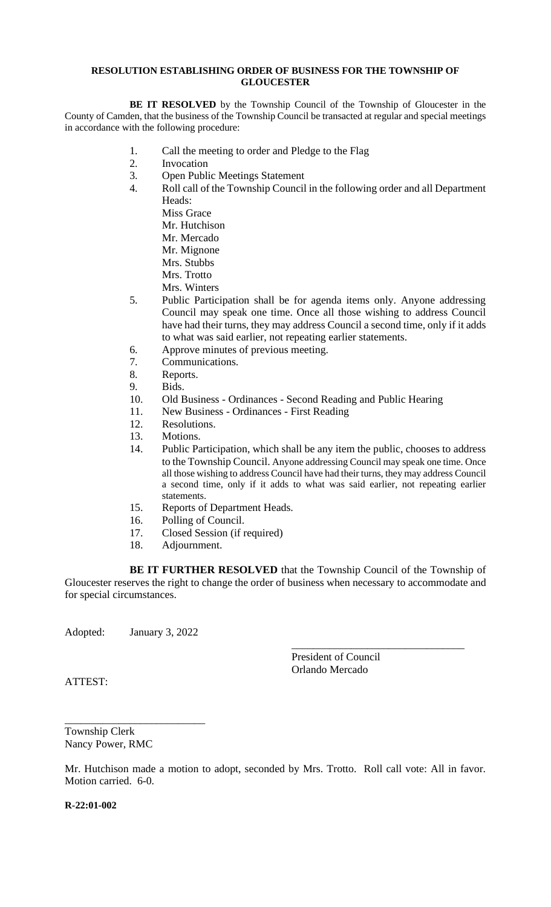#### **RESOLUTION ESTABLISHING ORDER OF BUSINESS FOR THE TOWNSHIP OF GLOUCESTER**

**BE IT RESOLVED** by the Township Council of the Township of Gloucester in the County of Camden, that the business of the Township Council be transacted at regular and special meetings in accordance with the following procedure:

- 1. Call the meeting to order and Pledge to the Flag
- 2. Invocation
- 3. Open Public Meetings Statement
- 4. Roll call of the Township Council in the following order and all Department Heads:

Miss Grace

- Mr. Hutchison
- Mr. Mercado
- Mr. Mignone
- Mrs. Stubbs
- Mrs. Trotto
- Mrs. Winters
- 5. Public Participation shall be for agenda items only. Anyone addressing Council may speak one time. Once all those wishing to address Council have had their turns, they may address Council a second time, only if it adds to what was said earlier, not repeating earlier statements.
- 6. Approve minutes of previous meeting.
- 7. Communications.
- 8. Reports.
- 9. Bids.
- 10. Old Business Ordinances Second Reading and Public Hearing
- 11. New Business Ordinances First Reading
- 12. Resolutions.
- 13. Motions.
- 14. Public Participation, which shall be any item the public, chooses to address to the Township Council. Anyone addressing Council may speak one time. Once all those wishing to address Council have had their turns, they may address Council a second time, only if it adds to what was said earlier, not repeating earlier statements.
- 15. Reports of Department Heads.
- 16. Polling of Council.
- 17. Closed Session (if required)
- 18. Adjournment.

**BE IT FURTHER RESOLVED** that the Township Council of the Township of Gloucester reserves the right to change the order of business when necessary to accommodate and for special circumstances.

Adopted: January 3, 2022

\_\_\_\_\_\_\_\_\_\_\_\_\_\_\_\_\_\_\_\_\_\_\_\_\_\_

President of Council Orlando Mercado

\_\_\_\_\_\_\_\_\_\_\_\_\_\_\_\_\_\_\_\_\_\_\_\_\_\_\_\_\_\_\_\_

ATTEST:

Township Clerk Nancy Power, RMC

Mr. Hutchison made a motion to adopt, seconded by Mrs. Trotto. Roll call vote: All in favor. Motion carried. 6-0.

**R-22:01-002**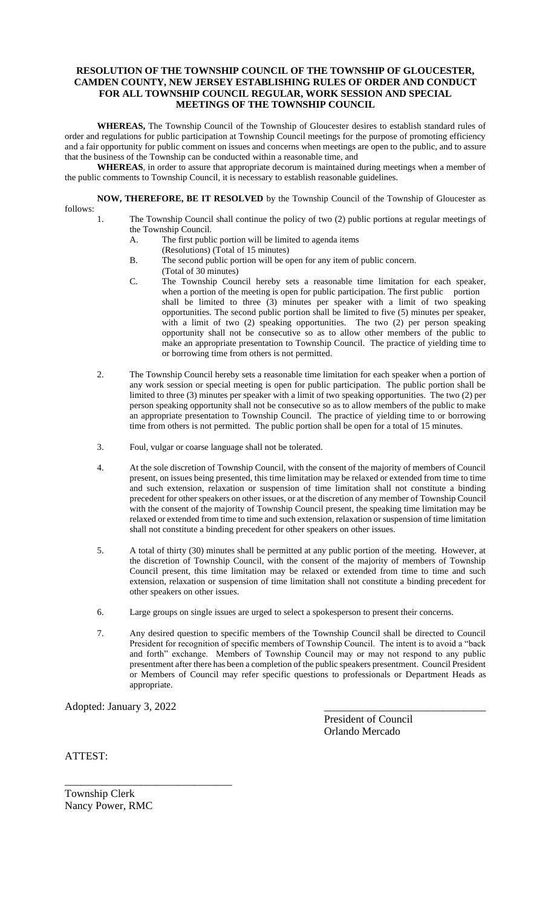#### **RESOLUTION OF THE TOWNSHIP COUNCIL OF THE TOWNSHIP OF GLOUCESTER, CAMDEN COUNTY, NEW JERSEY ESTABLISHING RULES OF ORDER AND CONDUCT FOR ALL TOWNSHIP COUNCIL REGULAR, WORK SESSION AND SPECIAL MEETINGS OF THE TOWNSHIP COUNCIL**

**WHEREAS,** The Township Council of the Township of Gloucester desires to establish standard rules of order and regulations for public participation at Township Council meetings for the purpose of promoting efficiency and a fair opportunity for public comment on issues and concerns when meetings are open to the public, and to assure that the business of the Township can be conducted within a reasonable time, and

**WHEREAS**, in order to assure that appropriate decorum is maintained during meetings when a member of the public comments to Township Council, it is necessary to establish reasonable guidelines.

**NOW, THEREFORE, BE IT RESOLVED** by the Township Council of the Township of Gloucester as follows:

- 1. The Township Council shall continue the policy of two (2) public portions at regular meetings of the Township Council.
	- A. The first public portion will be limited to agenda items
		- (Resolutions) (Total of 15 minutes)
	- B. The second public portion will be open for any item of public concern.
	- (Total of 30 minutes)
	- C. The Township Council hereby sets a reasonable time limitation for each speaker, when a portion of the meeting is open for public participation. The first public portion shall be limited to three (3) minutes per speaker with a limit of two speaking opportunities. The second public portion shall be limited to five (5) minutes per speaker, with a limit of two (2) speaking opportunities. The two (2) per person speaking opportunity shall not be consecutive so as to allow other members of the public to make an appropriate presentation to Township Council. The practice of yielding time to or borrowing time from others is not permitted.
- 2. The Township Council hereby sets a reasonable time limitation for each speaker when a portion of any work session or special meeting is open for public participation. The public portion shall be limited to three (3) minutes per speaker with a limit of two speaking opportunities. The two (2) per person speaking opportunity shall not be consecutive so as to allow members of the public to make an appropriate presentation to Township Council. The practice of yielding time to or borrowing time from others is not permitted. The public portion shall be open for a total of 15 minutes.
- 3. Foul, vulgar or coarse language shall not be tolerated.
- 4. At the sole discretion of Township Council, with the consent of the majority of members of Council present, on issues being presented, this time limitation may be relaxed or extended from time to time and such extension, relaxation or suspension of time limitation shall not constitute a binding precedent for other speakers on other issues, or at the discretion of any member of Township Council with the consent of the majority of Township Council present, the speaking time limitation may be relaxed or extended from time to time and such extension, relaxation or suspension of time limitation shall not constitute a binding precedent for other speakers on other issues.
- 5. A total of thirty (30) minutes shall be permitted at any public portion of the meeting. However, at the discretion of Township Council, with the consent of the majority of members of Township Council present, this time limitation may be relaxed or extended from time to time and such extension, relaxation or suspension of time limitation shall not constitute a binding precedent for other speakers on other issues.
- 6. Large groups on single issues are urged to select a spokesperson to present their concerns.
- 7. Any desired question to specific members of the Township Council shall be directed to Council President for recognition of specific members of Township Council. The intent is to avoid a "back and forth" exchange. Members of Township Council may or may not respond to any public presentment after there has been a completion of the public speakers presentment. Council President or Members of Council may refer specific questions to professionals or Department Heads as appropriate.

Adopted: January 3, 2022

\_\_\_\_\_\_\_\_\_\_\_\_\_\_\_\_\_\_\_\_\_\_\_\_\_\_\_\_\_\_\_

President of Council Orlando Mercado

ATTEST:

Township Clerk Nancy Power, RMC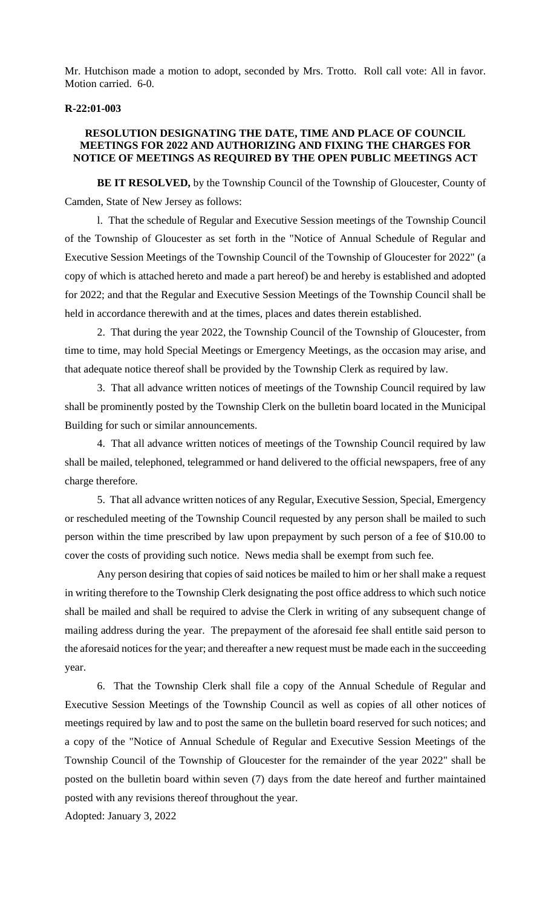Mr. Hutchison made a motion to adopt, seconded by Mrs. Trotto. Roll call vote: All in favor. Motion carried. 6-0.

#### **R-22:01-003**

# **RESOLUTION DESIGNATING THE DATE, TIME AND PLACE OF COUNCIL MEETINGS FOR 2022 AND AUTHORIZING AND FIXING THE CHARGES FOR NOTICE OF MEETINGS AS REQUIRED BY THE OPEN PUBLIC MEETINGS ACT**

**BE IT RESOLVED,** by the Township Council of the Township of Gloucester, County of Camden, State of New Jersey as follows:

l. That the schedule of Regular and Executive Session meetings of the Township Council of the Township of Gloucester as set forth in the "Notice of Annual Schedule of Regular and Executive Session Meetings of the Township Council of the Township of Gloucester for 2022" (a copy of which is attached hereto and made a part hereof) be and hereby is established and adopted for 2022; and that the Regular and Executive Session Meetings of the Township Council shall be held in accordance therewith and at the times, places and dates therein established.

2. That during the year 2022, the Township Council of the Township of Gloucester, from time to time, may hold Special Meetings or Emergency Meetings, as the occasion may arise, and that adequate notice thereof shall be provided by the Township Clerk as required by law.

3. That all advance written notices of meetings of the Township Council required by law shall be prominently posted by the Township Clerk on the bulletin board located in the Municipal Building for such or similar announcements.

4. That all advance written notices of meetings of the Township Council required by law shall be mailed, telephoned, telegrammed or hand delivered to the official newspapers, free of any charge therefore.

5. That all advance written notices of any Regular, Executive Session, Special, Emergency or rescheduled meeting of the Township Council requested by any person shall be mailed to such person within the time prescribed by law upon prepayment by such person of a fee of \$10.00 to cover the costs of providing such notice. News media shall be exempt from such fee.

Any person desiring that copies of said notices be mailed to him or her shall make a request in writing therefore to the Township Clerk designating the post office address to which such notice shall be mailed and shall be required to advise the Clerk in writing of any subsequent change of mailing address during the year. The prepayment of the aforesaid fee shall entitle said person to the aforesaid notices for the year; and thereafter a new request must be made each in the succeeding year.

6. That the Township Clerk shall file a copy of the Annual Schedule of Regular and Executive Session Meetings of the Township Council as well as copies of all other notices of meetings required by law and to post the same on the bulletin board reserved for such notices; and a copy of the "Notice of Annual Schedule of Regular and Executive Session Meetings of the Township Council of the Township of Gloucester for the remainder of the year 2022" shall be posted on the bulletin board within seven (7) days from the date hereof and further maintained posted with any revisions thereof throughout the year.

Adopted: January 3, 2022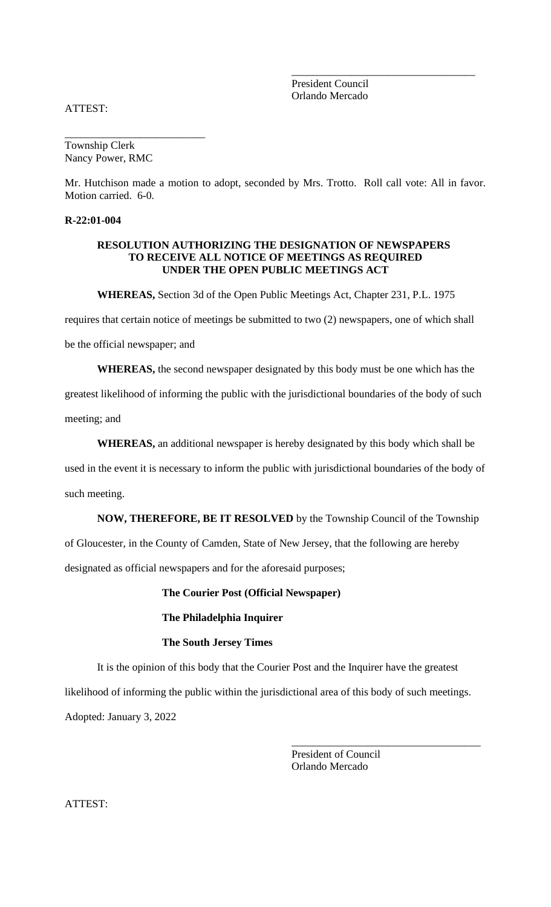President Council Orlando Mercado

\_\_\_\_\_\_\_\_\_\_\_\_\_\_\_\_\_\_\_\_\_\_\_\_\_\_\_\_\_\_\_\_\_\_

ATTEST:

Township Clerk Nancy Power, RMC

\_\_\_\_\_\_\_\_\_\_\_\_\_\_\_\_\_\_\_\_\_\_\_\_\_\_

Mr. Hutchison made a motion to adopt, seconded by Mrs. Trotto. Roll call vote: All in favor. Motion carried. 6-0.

### **R-22:01-004**

#### **RESOLUTION AUTHORIZING THE DESIGNATION OF NEWSPAPERS TO RECEIVE ALL NOTICE OF MEETINGS AS REQUIRED UNDER THE OPEN PUBLIC MEETINGS ACT**

**WHEREAS,** Section 3d of the Open Public Meetings Act, Chapter 231, P.L. 1975

requires that certain notice of meetings be submitted to two (2) newspapers, one of which shall

be the official newspaper; and

**WHEREAS,** the second newspaper designated by this body must be one which has the

greatest likelihood of informing the public with the jurisdictional boundaries of the body of such

meeting; and

**WHEREAS,** an additional newspaper is hereby designated by this body which shall be

used in the event it is necessary to inform the public with jurisdictional boundaries of the body of

such meeting.

**NOW, THEREFORE, BE IT RESOLVED** by the Township Council of the Township

of Gloucester, in the County of Camden, State of New Jersey, that the following are hereby

designated as official newspapers and for the aforesaid purposes;

**The Courier Post (Official Newspaper)**

#### **The Philadelphia Inquirer**

# **The South Jersey Times**

It is the opinion of this body that the Courier Post and the Inquirer have the greatest likelihood of informing the public within the jurisdictional area of this body of such meetings. Adopted: January 3, 2022

> President of Council Orlando Mercado

\_\_\_\_\_\_\_\_\_\_\_\_\_\_\_\_\_\_\_\_\_\_\_\_\_\_\_\_\_\_\_\_\_\_\_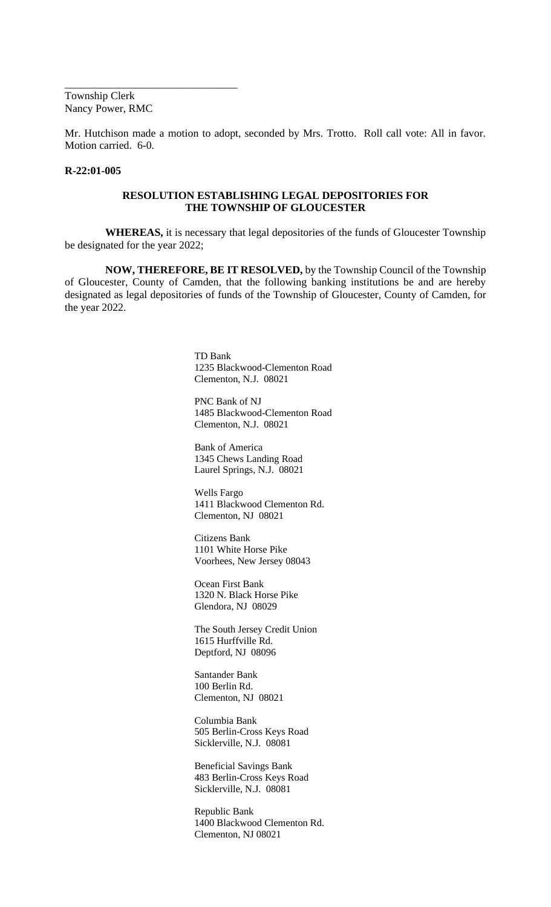Township Clerk Nancy Power, RMC

\_\_\_\_\_\_\_\_\_\_\_\_\_\_\_\_\_\_\_\_\_\_\_\_\_\_\_\_\_\_\_\_

Mr. Hutchison made a motion to adopt, seconded by Mrs. Trotto. Roll call vote: All in favor. Motion carried. 6-0.

#### **R-22:01-005**

#### **RESOLUTION ESTABLISHING LEGAL DEPOSITORIES FOR THE TOWNSHIP OF GLOUCESTER**

**WHEREAS,** it is necessary that legal depositories of the funds of Gloucester Township be designated for the year 2022;

**NOW, THEREFORE, BE IT RESOLVED,** by the Township Council of the Township of Gloucester, County of Camden, that the following banking institutions be and are hereby designated as legal depositories of funds of the Township of Gloucester, County of Camden, for the year 2022.

> TD Bank 1235 Blackwood-Clementon Road Clementon, N.J. 08021

> PNC Bank of NJ 1485 Blackwood-Clementon Road Clementon, N.J. 08021

Bank of America 1345 Chews Landing Road Laurel Springs, N.J. 08021

Wells Fargo 1411 Blackwood Clementon Rd. Clementon, NJ 08021

Citizens Bank 1101 White Horse Pike Voorhees, New Jersey 08043

Ocean First Bank 1320 N. Black Horse Pike Glendora, NJ 08029

The South Jersey Credit Union 1615 Hurffville Rd. Deptford, NJ 08096

Santander Bank 100 Berlin Rd. Clementon, NJ 08021

Columbia Bank 505 Berlin-Cross Keys Road Sicklerville, N.J. 08081

Beneficial Savings Bank 483 Berlin-Cross Keys Road Sicklerville, N.J. 08081

Republic Bank 1400 Blackwood Clementon Rd. Clementon, NJ 08021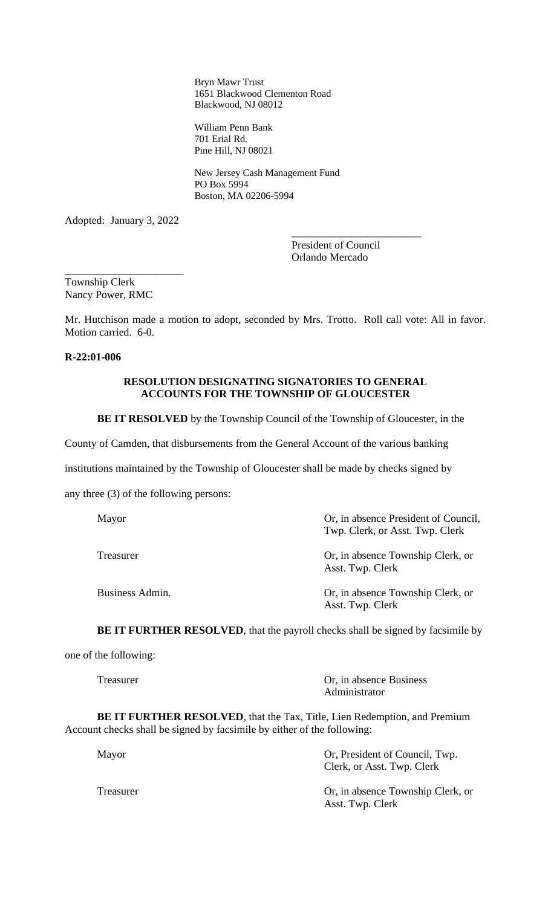Bryn Mawr Trust 1651 Blackwood Clementon Road Blackwood, NJ 08012

William Penn Bank 701 Erial Rd. Pine Hill, NJ 08021

New Jersey Cash Management Fund PO Box 5994 Boston, MA 02206-5994

Adopted: January 3, 2022

\_\_\_\_\_\_\_\_\_\_\_\_\_\_\_\_\_\_\_\_\_\_

President of Council Orlando Mercado

\_\_\_\_\_\_\_\_\_\_\_\_\_\_\_\_\_\_\_\_\_\_\_\_

Township Clerk Nancy Power, RMC

Mr. Hutchison made a motion to adopt, seconded by Mrs. Trotto. Roll call vote: All in favor. Motion carried. 6-0.

#### **R-22:01-006**

# **RESOLUTION DESIGNATING SIGNATORIES TO GENERAL ACCOUNTS FOR THE TOWNSHIP OF GLOUCESTER**

**BE IT RESOLVED** by the Township Council of the Township of Gloucester, in the

County of Camden, that disbursements from the General Account of the various banking

institutions maintained by the Township of Gloucester shall be made by checks signed by

any three (3) of the following persons:

| Mayor           | Or, in absence President of Council,<br>Twp. Clerk, or Asst. Twp. Clerk |
|-----------------|-------------------------------------------------------------------------|
| Treasurer       | Or, in absence Township Clerk, or<br>Asst. Twp. Clerk                   |
| Business Admin. | Or, in absence Township Clerk, or<br>Asst. Twp. Clerk                   |

**BE IT FURTHER RESOLVED**, that the payroll checks shall be signed by facsimile by

one of the following:

Treasurer Or, in absence Business Administrator

**BE IT FURTHER RESOLVED**, that the Tax, Title, Lien Redemption, and Premium Account checks shall be signed by facsimile by either of the following:

| Mayor     | Or, President of Council, Twp.<br>Clerk, or Asst. Twp. Clerk |
|-----------|--------------------------------------------------------------|
| Treasurer | Or, in absence Township Clerk, or<br>Asst. Twp. Clerk        |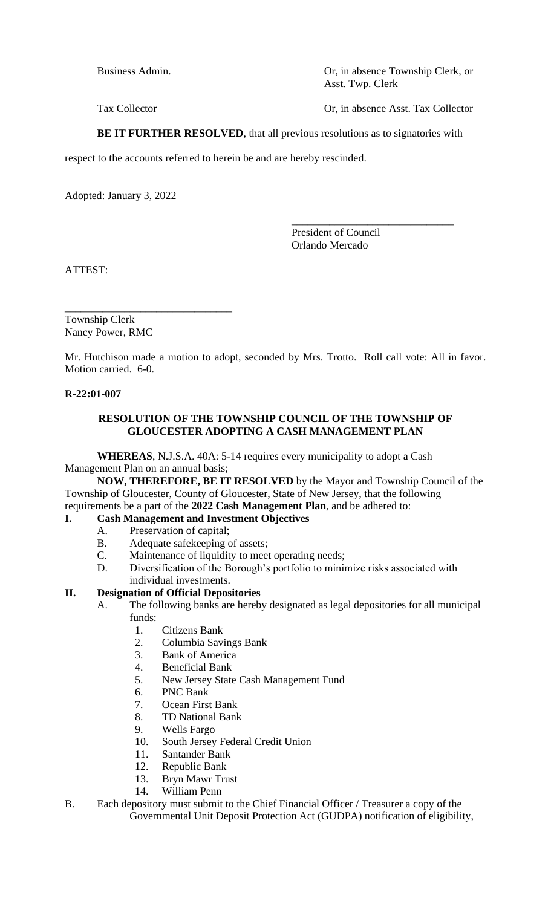Business Admin. Compared to the US of the Sense of Compared Township Clerk, or Asst. Twp. Clerk

Tax Collector **Ore in absence Asst. Tax Collector** 

**BE IT FURTHER RESOLVED**, that all previous resolutions as to signatories with

respect to the accounts referred to herein be and are hereby rescinded.

Adopted: January 3, 2022

President of Council Orlando Mercado

\_\_\_\_\_\_\_\_\_\_\_\_\_\_\_\_\_\_\_\_\_\_\_\_\_\_\_\_\_\_

ATTEST:

\_\_\_\_\_\_\_\_\_\_\_\_\_\_\_\_\_\_\_\_\_\_\_\_\_\_\_\_\_\_\_ Township Clerk Nancy Power, RMC

Mr. Hutchison made a motion to adopt, seconded by Mrs. Trotto. Roll call vote: All in favor. Motion carried. 6-0.

# **R-22:01-007**

# **RESOLUTION OF THE TOWNSHIP COUNCIL OF THE TOWNSHIP OF GLOUCESTER ADOPTING A CASH MANAGEMENT PLAN**

**WHEREAS**, N.J.S.A. 40A: 5-14 requires every municipality to adopt a Cash Management Plan on an annual basis;

**NOW, THEREFORE, BE IT RESOLVED** by the Mayor and Township Council of the Township of Gloucester, County of Gloucester, State of New Jersey, that the following requirements be a part of the **2022 Cash Management Plan**, and be adhered to:

# **I. Cash Management and Investment Objectives**

- A. Preservation of capital;
- B. Adequate safekeeping of assets;
- C. Maintenance of liquidity to meet operating needs;
- D. Diversification of the Borough's portfolio to minimize risks associated with individual investments.

# **II. Designation of Official Depositories**

- A. The following banks are hereby designated as legal depositories for all municipal funds:
	- 1. Citizens Bank
	- 2. Columbia Savings Bank<br>3 Bank of America
	- Bank of America
	- 4. Beneficial Bank
	- 5. New Jersey State Cash Management Fund
	- 6. PNC Bank
	- 7. Ocean First Bank
	- 8. TD National Bank
	- 9. Wells Fargo
	- 10. South Jersey Federal Credit Union
	- 11. Santander Bank
	- 12. Republic Bank
	- 13. Bryn Mawr Trust
	- 14. William Penn
- B. Each depository must submit to the Chief Financial Officer / Treasurer a copy of the Governmental Unit Deposit Protection Act (GUDPA) notification of eligibility,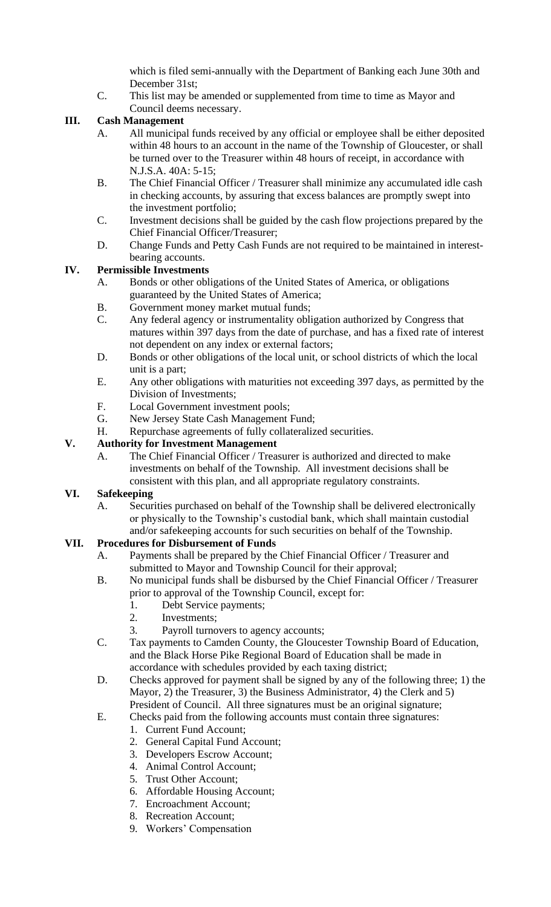which is filed semi-annually with the Department of Banking each June 30th and December 31st;

C. This list may be amended or supplemented from time to time as Mayor and Council deems necessary.

# **III. Cash Management**

- A. All municipal funds received by any official or employee shall be either deposited within 48 hours to an account in the name of the Township of Gloucester, or shall be turned over to the Treasurer within 48 hours of receipt, in accordance with N.J.S.A. 40A: 5-15;
- B. The Chief Financial Officer / Treasurer shall minimize any accumulated idle cash in checking accounts, by assuring that excess balances are promptly swept into the investment portfolio;
- C. Investment decisions shall be guided by the cash flow projections prepared by the Chief Financial Officer/Treasurer;
- D. Change Funds and Petty Cash Funds are not required to be maintained in interestbearing accounts.

# **IV. Permissible Investments**

- A. Bonds or other obligations of the United States of America, or obligations guaranteed by the United States of America;
- B. Government money market mutual funds;
- C. Any federal agency or instrumentality obligation authorized by Congress that matures within 397 days from the date of purchase, and has a fixed rate of interest not dependent on any index or external factors;
- D. Bonds or other obligations of the local unit, or school districts of which the local unit is a part;
- E. Any other obligations with maturities not exceeding 397 days, as permitted by the Division of Investments;
- F. Local Government investment pools;
- G. New Jersey State Cash Management Fund;
- H. Repurchase agreements of fully collateralized securities.

# **V. Authority for Investment Management**

A. The Chief Financial Officer / Treasurer is authorized and directed to make investments on behalf of the Township. All investment decisions shall be consistent with this plan, and all appropriate regulatory constraints.

# **VI. Safekeeping**

A. Securities purchased on behalf of the Township shall be delivered electronically or physically to the Township's custodial bank, which shall maintain custodial and/or safekeeping accounts for such securities on behalf of the Township.

# **VII. Procedures for Disbursement of Funds**

- A. Payments shall be prepared by the Chief Financial Officer / Treasurer and submitted to Mayor and Township Council for their approval;
	- B. No municipal funds shall be disbursed by the Chief Financial Officer / Treasurer prior to approval of the Township Council, except for:
		- 1. Debt Service payments;
		- 2. Investments;
		- 3. Payroll turnovers to agency accounts;
	- C. Tax payments to Camden County, the Gloucester Township Board of Education, and the Black Horse Pike Regional Board of Education shall be made in accordance with schedules provided by each taxing district;
	- D. Checks approved for payment shall be signed by any of the following three; 1) the Mayor, 2) the Treasurer, 3) the Business Administrator, 4) the Clerk and 5) President of Council. All three signatures must be an original signature;
	- E. Checks paid from the following accounts must contain three signatures:
		- 1. Current Fund Account;
			- 2. General Capital Fund Account;
			- 3. Developers Escrow Account;
			- 4. Animal Control Account;
			- 5. Trust Other Account;
			- 6. Affordable Housing Account;
			- 7. Encroachment Account;
			- 8. Recreation Account;
			- 9. Workers' Compensation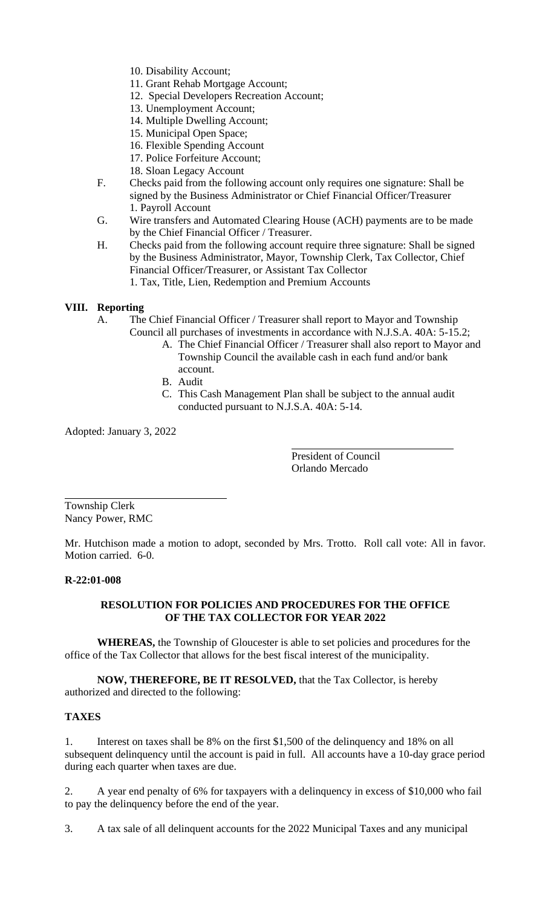- 10. Disability Account;
- 11. Grant Rehab Mortgage Account;
- 12. Special Developers Recreation Account;
- 13. Unemployment Account;
- 14. Multiple Dwelling Account;
- 15. Municipal Open Space;
- 16. Flexible Spending Account
- 17. Police Forfeiture Account;
- 18. Sloan Legacy Account
- F. Checks paid from the following account only requires one signature: Shall be signed by the Business Administrator or Chief Financial Officer/Treasurer 1. Payroll Account
- G. Wire transfers and Automated Clearing House (ACH) payments are to be made by the Chief Financial Officer / Treasurer.
- H. Checks paid from the following account require three signature: Shall be signed by the Business Administrator, Mayor, Township Clerk, Tax Collector, Chief Financial Officer/Treasurer, or Assistant Tax Collector 1. Tax, Title, Lien, Redemption and Premium Accounts

# **VIII. Reporting**

A. The Chief Financial Officer / Treasurer shall report to Mayor and Township Council all purchases of investments in accordance with N.J.S.A. 40A: 5-15.2;

- A. The Chief Financial Officer / Treasurer shall also report to Mayor and Township Council the available cash in each fund and/or bank account.
- B. Audit
- C. This Cash Management Plan shall be subject to the annual audit conducted pursuant to N.J.S.A. 40A: 5-14.

Adopted: January 3, 2022

President of Council Orlando Mercado

Township Clerk Nancy Power, RMC

Mr. Hutchison made a motion to adopt, seconded by Mrs. Trotto. Roll call vote: All in favor. Motion carried. 6-0.

# **R-22:01-008**

# **RESOLUTION FOR POLICIES AND PROCEDURES FOR THE OFFICE OF THE TAX COLLECTOR FOR YEAR 2022**

**WHEREAS,** the Township of Gloucester is able to set policies and procedures for the office of the Tax Collector that allows for the best fiscal interest of the municipality.

**NOW, THEREFORE, BE IT RESOLVED,** that the Tax Collector, is hereby authorized and directed to the following:

# **TAXES**

1. Interest on taxes shall be 8% on the first \$1,500 of the delinquency and 18% on all subsequent delinquency until the account is paid in full. All accounts have a 10-day grace period during each quarter when taxes are due.

2. A year end penalty of 6% for taxpayers with a delinquency in excess of \$10,000 who fail to pay the delinquency before the end of the year.

3. A tax sale of all delinquent accounts for the 2022 Municipal Taxes and any municipal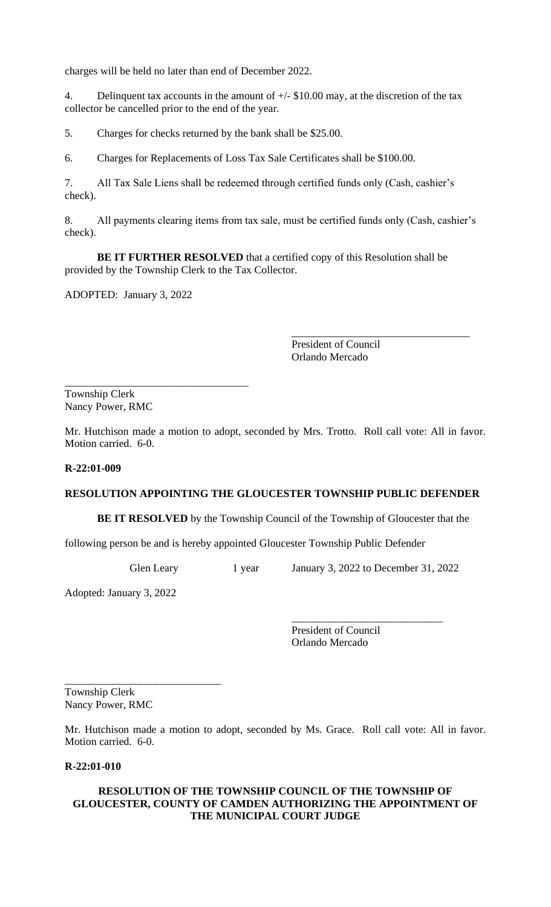charges will be held no later than end of December 2022.

4. Delinquent tax accounts in the amount of  $+/-$  \$10.00 may, at the discretion of the tax collector be cancelled prior to the end of the year.

5. Charges for checks returned by the bank shall be \$25.00.

6. Charges for Replacements of Loss Tax Sale Certificates shall be \$100.00.

7. All Tax Sale Liens shall be redeemed through certified funds only (Cash, cashier's check).

8. All payments clearing items from tax sale, must be certified funds only (Cash, cashier's check).

**BE IT FURTHER RESOLVED** that a certified copy of this Resolution shall be provided by the Township Clerk to the Tax Collector.

ADOPTED: January 3, 2022

President of Council Orlando Mercado

\_\_\_\_\_\_\_\_\_\_\_\_\_\_\_\_\_\_\_\_\_\_\_\_\_\_\_\_\_\_\_\_\_

\_\_\_\_\_\_\_\_\_\_\_\_\_\_\_\_\_\_\_\_\_\_\_\_\_\_\_\_\_\_\_\_\_\_ Township Clerk Nancy Power, RMC

Mr. Hutchison made a motion to adopt, seconded by Mrs. Trotto. Roll call vote: All in favor. Motion carried. 6-0.

#### **R-22:01-009**

# **RESOLUTION APPOINTING THE GLOUCESTER TOWNSHIP PUBLIC DEFENDER**

**BE IT RESOLVED** by the Township Council of the Township of Gloucester that the

following person be and is hereby appointed Gloucester Township Public Defender

Glen Leary 1 year January 3, 2022 to December 31, 2022

\_\_\_\_\_\_\_\_\_\_\_\_\_\_\_\_\_\_\_\_\_\_\_\_\_\_\_\_

Adopted: January 3, 2022

\_\_\_\_\_\_\_\_\_\_\_\_\_\_\_\_\_\_\_\_\_\_\_\_\_\_\_\_\_

President of Council Orlando Mercado

Township Clerk Nancy Power, RMC

Mr. Hutchison made a motion to adopt, seconded by Ms. Grace. Roll call vote: All in favor. Motion carried. 6-0.

# **R-22:01-010**

#### **RESOLUTION OF THE TOWNSHIP COUNCIL OF THE TOWNSHIP OF GLOUCESTER, COUNTY OF CAMDEN AUTHORIZING THE APPOINTMENT OF THE MUNICIPAL COURT JUDGE**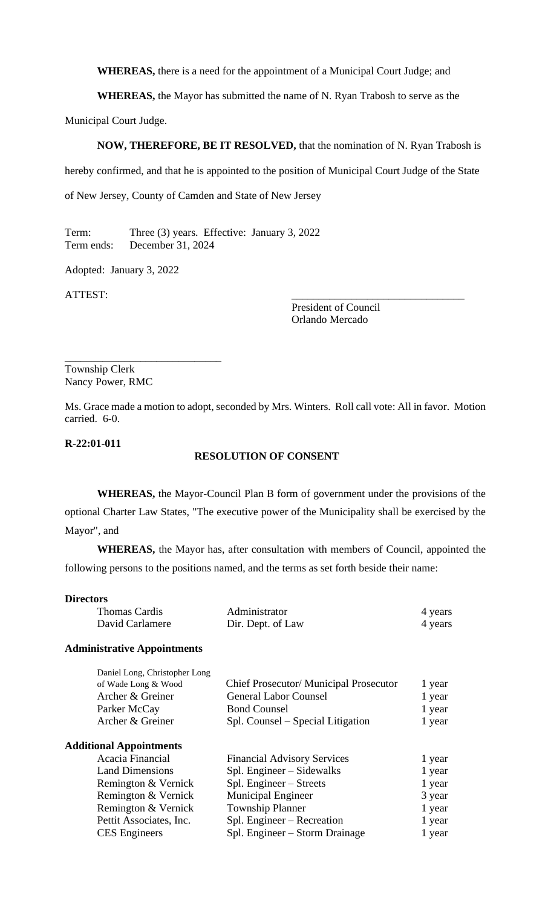**WHEREAS,** there is a need for the appointment of a Municipal Court Judge; and

**WHEREAS,** the Mayor has submitted the name of N. Ryan Trabosh to serve as the

Municipal Court Judge.

### **NOW, THEREFORE, BE IT RESOLVED,** that the nomination of N. Ryan Trabosh is

hereby confirmed, and that he is appointed to the position of Municipal Court Judge of the State

of New Jersey, County of Camden and State of New Jersey

Term: Three (3) years. Effective: January 3, 2022 Term ends: December 31, 2024

Adopted: January 3, 2022

ATTEST:

President of Council Orlando Mercado

Township Clerk Nancy Power, RMC

\_\_\_\_\_\_\_\_\_\_\_\_\_\_\_\_\_\_\_\_\_\_\_\_\_\_\_\_\_

Ms. Grace made a motion to adopt, seconded by Mrs. Winters. Roll call vote: All in favor. Motion carried. 6-0.

### **R-22:01-011**

#### **RESOLUTION OF CONSENT**

**WHEREAS,** the Mayor-Council Plan B form of government under the provisions of the optional Charter Law States, "The executive power of the Municipality shall be exercised by the Mayor", and

**WHEREAS,** the Mayor has, after consultation with members of Council, appointed the following persons to the positions named, and the terms as set forth beside their name:

#### **Directors**

| Thomas Cardis   | Administrator     | 4 years |
|-----------------|-------------------|---------|
| David Carlamere | Dir. Dept. of Law | 4 years |

#### **Administrative Appointments**

| Daniel Long, Christopher Long  |                                        |        |
|--------------------------------|----------------------------------------|--------|
| of Wade Long & Wood            | Chief Prosecutor/ Municipal Prosecutor | 1 year |
| Archer & Greiner               | <b>General Labor Counsel</b>           | 1 year |
| Parker McCay                   | <b>Bond Counsel</b>                    | 1 year |
| Archer & Greiner               | Spl. Counsel – Special Litigation      | 1 year |
| <b>Additional Appointments</b> |                                        |        |
| Acacia Financial               | <b>Financial Advisory Services</b>     | 1 year |
| <b>Land Dimensions</b>         | Spl. Engineer – Sidewalks              | 1 year |
| Remington & Vernick            | Spl. Engineer – Streets                | 1 year |
| Remington & Vernick            | <b>Municipal Engineer</b>              | 3 year |
| Remington & Vernick            | <b>Township Planner</b>                | 1 year |
| Pettit Associates, Inc.        | Spl. Engineer – Recreation             | 1 year |
| <b>CES</b> Engineers           | Spl. Engineer – Storm Drainage         | 1 year |
|                                |                                        |        |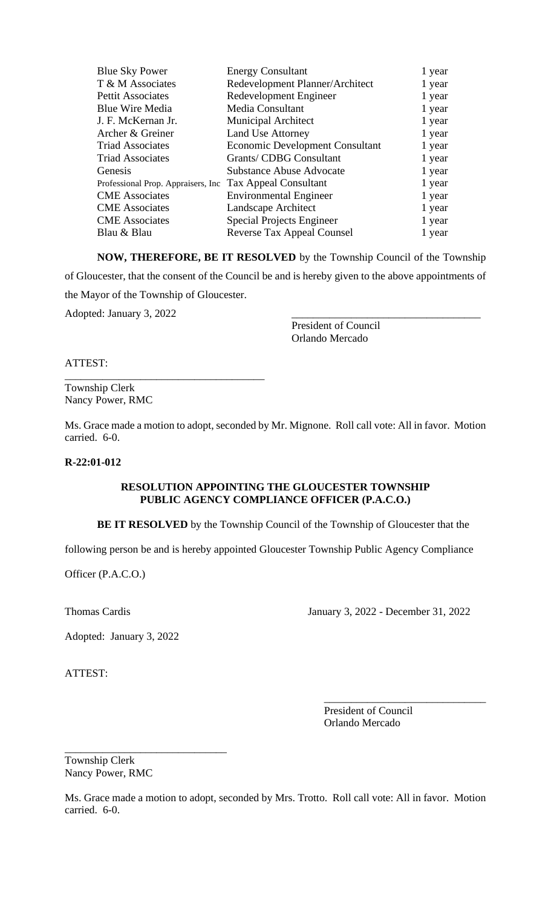| <b>Blue Sky Power</b>               | <b>Energy Consultant</b>               | 1 year |
|-------------------------------------|----------------------------------------|--------|
| T & M Associates                    | Redevelopment Planner/Architect        | 1 year |
| Pettit Associates                   | Redevelopment Engineer                 | 1 year |
| <b>Blue Wire Media</b>              | Media Consultant                       | 1 year |
| J. F. McKernan Jr.                  | <b>Municipal Architect</b>             | 1 year |
| Archer & Greiner                    | <b>Land Use Attorney</b>               | 1 year |
| <b>Triad Associates</b>             | <b>Economic Development Consultant</b> | 1 year |
| <b>Triad Associates</b>             | <b>Grants/ CDBG Consultant</b>         | 1 year |
| Genesis                             | <b>Substance Abuse Advocate</b>        | 1 year |
| Professional Prop. Appraisers, Inc. | <b>Tax Appeal Consultant</b>           | 1 year |
| <b>CME</b> Associates               | <b>Environmental Engineer</b>          | 1 year |
| <b>CME</b> Associates               | Landscape Architect                    | 1 year |
| <b>CME</b> Associates               | <b>Special Projects Engineer</b>       | 1 year |
| Blau & Blau                         | <b>Reverse Tax Appeal Counsel</b>      | 1 year |

**NOW, THEREFORE, BE IT RESOLVED** by the Township Council of the Township of Gloucester, that the consent of the Council be and is hereby given to the above appointments of the Mayor of the Township of Gloucester. Adopted: January 3, 2022

President of Council Orlando Mercado

ATTEST:

Township Clerk Nancy Power, RMC

\_\_\_\_\_\_\_\_\_\_\_\_\_\_\_\_\_\_\_\_\_\_\_\_\_\_\_\_\_\_\_\_\_\_\_\_\_

Ms. Grace made a motion to adopt, seconded by Mr. Mignone. Roll call vote: All in favor. Motion carried. 6-0.

#### **R-22:01-012**

# **RESOLUTION APPOINTING THE GLOUCESTER TOWNSHIP PUBLIC AGENCY COMPLIANCE OFFICER (P.A.C.O.)**

**BE IT RESOLVED** by the Township Council of the Township of Gloucester that the

following person be and is hereby appointed Gloucester Township Public Agency Compliance

Officer (P.A.C.O.)

Thomas Cardis January 3, 2022 - December 31, 2022

\_\_\_\_\_\_\_\_\_\_\_\_\_\_\_\_\_\_\_\_\_\_\_\_\_\_\_\_\_\_

Adopted: January 3, 2022

ATTEST:

President of Council Orlando Mercado

Township Clerk Nancy Power, RMC

\_\_\_\_\_\_\_\_\_\_\_\_\_\_\_\_\_\_\_\_\_\_\_\_\_\_\_\_\_\_

Ms. Grace made a motion to adopt, seconded by Mrs. Trotto. Roll call vote: All in favor. Motion carried. 6-0.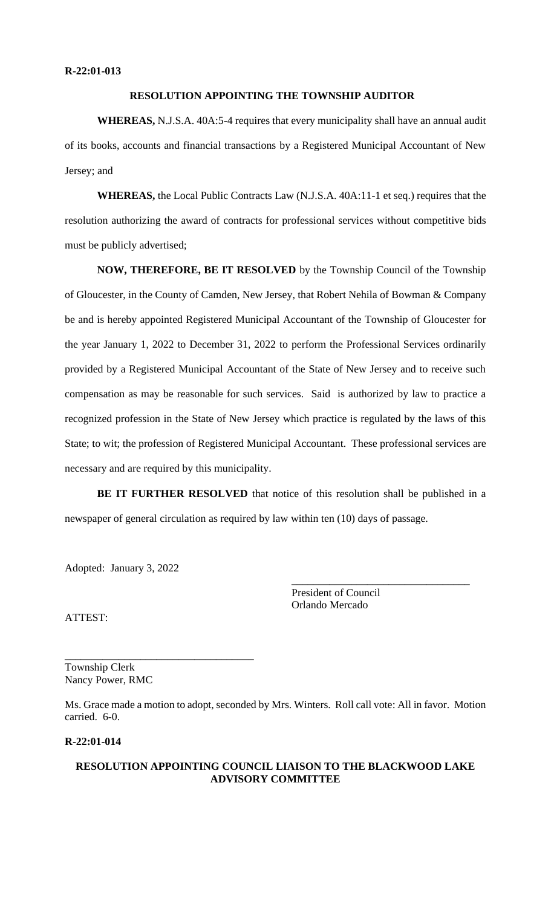# **RESOLUTION APPOINTING THE TOWNSHIP AUDITOR**

**WHEREAS,** N.J.S.A. 40A:5-4 requires that every municipality shall have an annual audit of its books, accounts and financial transactions by a Registered Municipal Accountant of New Jersey; and

**WHEREAS,** the Local Public Contracts Law (N.J.S.A. 40A:11-1 et seq.) requires that the resolution authorizing the award of contracts for professional services without competitive bids must be publicly advertised;

**NOW, THEREFORE, BE IT RESOLVED** by the Township Council of the Township of Gloucester, in the County of Camden, New Jersey, that Robert Nehila of Bowman & Company be and is hereby appointed Registered Municipal Accountant of the Township of Gloucester for the year January 1, 2022 to December 31, 2022 to perform the Professional Services ordinarily provided by a Registered Municipal Accountant of the State of New Jersey and to receive such compensation as may be reasonable for such services. Said is authorized by law to practice a recognized profession in the State of New Jersey which practice is regulated by the laws of this State; to wit; the profession of Registered Municipal Accountant. These professional services are necessary and are required by this municipality.

**BE IT FURTHER RESOLVED** that notice of this resolution shall be published in a newspaper of general circulation as required by law within ten (10) days of passage.

Adopted: January 3, 2022

\_\_\_\_\_\_\_\_\_\_\_\_\_\_\_\_\_\_\_\_\_\_\_\_\_\_\_\_\_\_\_\_\_\_\_

President of Council Orlando Mercado

\_\_\_\_\_\_\_\_\_\_\_\_\_\_\_\_\_\_\_\_\_\_\_\_\_\_\_\_\_\_\_\_\_

ATTEST:

Township Clerk Nancy Power, RMC

Ms. Grace made a motion to adopt, seconded by Mrs. Winters. Roll call vote: All in favor. Motion carried. 6-0.

# **R-22:01-014**

# **RESOLUTION APPOINTING COUNCIL LIAISON TO THE BLACKWOOD LAKE ADVISORY COMMITTEE**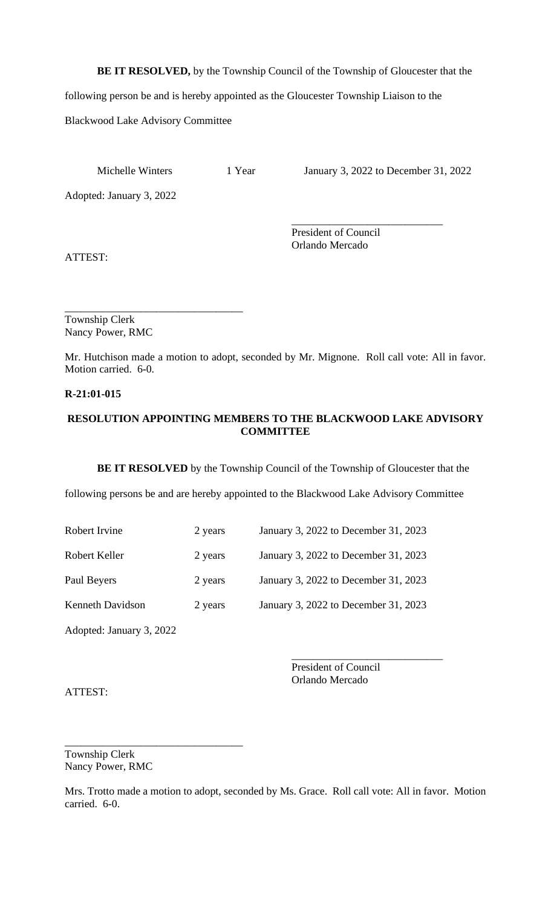**BE IT RESOLVED,** by the Township Council of the Township of Gloucester that the

following person be and is hereby appointed as the Gloucester Township Liaison to the

Blackwood Lake Advisory Committee

Michelle Winters 1 Year January 3, 2022 to December 31, 2022

\_\_\_\_\_\_\_\_\_\_\_\_\_\_\_\_\_\_\_\_\_\_\_\_\_\_\_\_

Adopted: January 3, 2022

President of Council Orlando Mercado

ATTEST:

\_\_\_\_\_\_\_\_\_\_\_\_\_\_\_\_\_\_\_\_\_\_\_\_\_\_\_\_\_\_\_\_\_ Township Clerk Nancy Power, RMC

Mr. Hutchison made a motion to adopt, seconded by Mr. Mignone. Roll call vote: All in favor. Motion carried. 6-0.

# **R-21:01-015**

# **RESOLUTION APPOINTING MEMBERS TO THE BLACKWOOD LAKE ADVISORY COMMITTEE**

**BE IT RESOLVED** by the Township Council of the Township of Gloucester that the

following persons be and are hereby appointed to the Blackwood Lake Advisory Committee

- Robert Irvine 2 years January 3, 2022 to December 31, 2023
- Robert Keller 2 years January 3, 2022 to December 31, 2023

Paul Beyers 2 years January 3, 2022 to December 31, 2023

Kenneth Davidson 2 years January 3, 2022 to December 31, 2023

\_\_\_\_\_\_\_\_\_\_\_\_\_\_\_\_\_\_\_\_\_\_\_\_\_\_\_\_\_\_\_\_\_

Adopted: January 3, 2022

\_\_\_\_\_\_\_\_\_\_\_\_\_\_\_\_\_\_\_\_\_\_\_\_\_\_\_\_ President of Council Orlando Mercado

ATTEST:

Township Clerk Nancy Power, RMC

Mrs. Trotto made a motion to adopt, seconded by Ms. Grace. Roll call vote: All in favor. Motion carried. 6-0.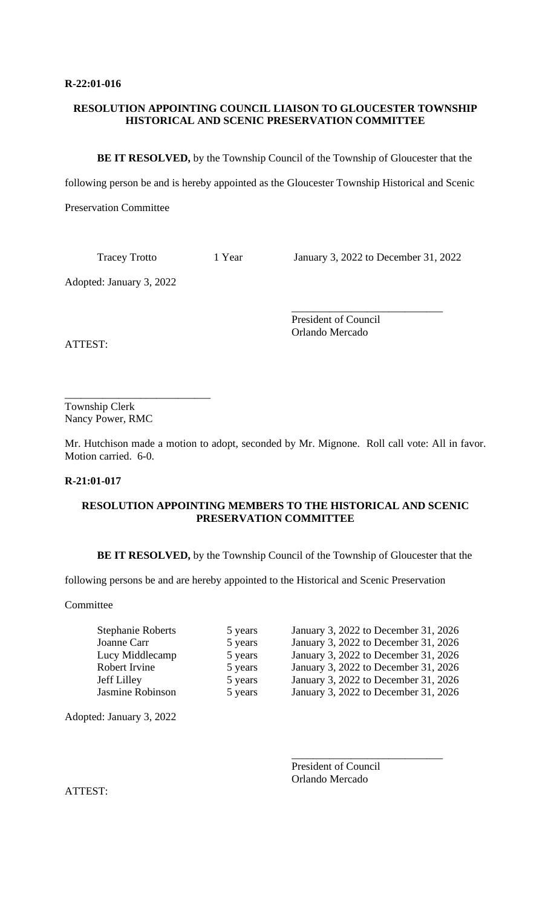# **RESOLUTION APPOINTING COUNCIL LIAISON TO GLOUCESTER TOWNSHIP HISTORICAL AND SCENIC PRESERVATION COMMITTEE**

**BE IT RESOLVED,** by the Township Council of the Township of Gloucester that the

following person be and is hereby appointed as the Gloucester Township Historical and Scenic

Preservation Committee

Tracey Trotto 1 Year January 3, 2022 to December 31, 2022

\_\_\_\_\_\_\_\_\_\_\_\_\_\_\_\_\_\_\_\_\_\_\_\_\_\_\_\_

Adopted: January 3, 2022

President of Council Orlando Mercado

ATTEST:

\_\_\_\_\_\_\_\_\_\_\_\_\_\_\_\_\_\_\_\_\_\_\_\_\_\_\_ Township Clerk Nancy Power, RMC

Mr. Hutchison made a motion to adopt, seconded by Mr. Mignone. Roll call vote: All in favor. Motion carried. 6-0.

# **R-21:01-017**

# **RESOLUTION APPOINTING MEMBERS TO THE HISTORICAL AND SCENIC PRESERVATION COMMITTEE**

**BE IT RESOLVED,** by the Township Council of the Township of Gloucester that the

following persons be and are hereby appointed to the Historical and Scenic Preservation

Committee

| <b>Stephanie Roberts</b> | 5 years | January 3, 2022 to December 31, 2026 |
|--------------------------|---------|--------------------------------------|
| Joanne Carr              | 5 years | January 3, 2022 to December 31, 2026 |
| Lucy Middlecamp          | 5 years | January 3, 2022 to December 31, 2026 |
| Robert Irvine            | 5 years | January 3, 2022 to December 31, 2026 |
| Jeff Lilley              | 5 years | January 3, 2022 to December 31, 2026 |
| Jasmine Robinson         | 5 years | January 3, 2022 to December 31, 2026 |

Adopted: January 3, 2022

President of Council Orlando Mercado

\_\_\_\_\_\_\_\_\_\_\_\_\_\_\_\_\_\_\_\_\_\_\_\_\_\_\_\_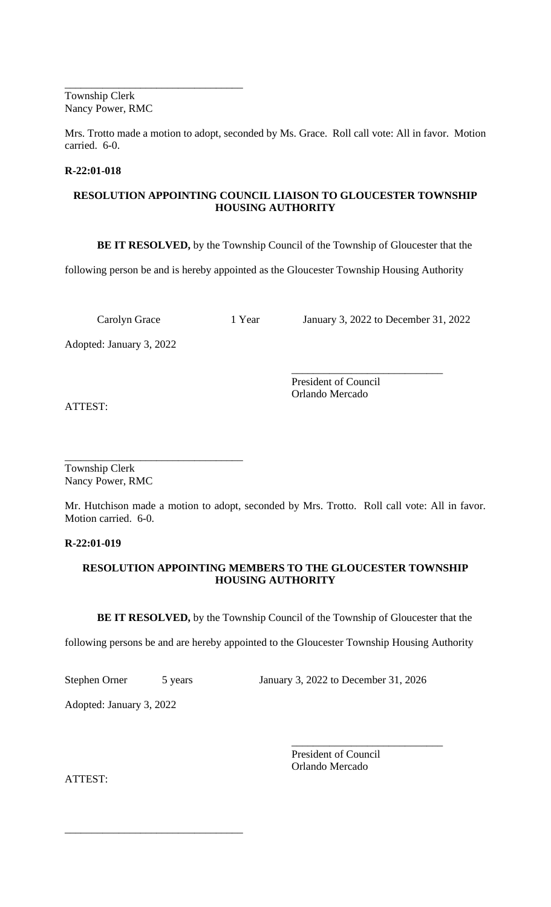Township Clerk Nancy Power, RMC

\_\_\_\_\_\_\_\_\_\_\_\_\_\_\_\_\_\_\_\_\_\_\_\_\_\_\_\_\_\_\_\_\_

Mrs. Trotto made a motion to adopt, seconded by Ms. Grace. Roll call vote: All in favor. Motion carried. 6-0.

# **R-22:01-018**

# **RESOLUTION APPOINTING COUNCIL LIAISON TO GLOUCESTER TOWNSHIP HOUSING AUTHORITY**

**BE IT RESOLVED,** by the Township Council of the Township of Gloucester that the

following person be and is hereby appointed as the Gloucester Township Housing Authority

Carolyn Grace 1 Year January 3, 2022 to December 31, 2022

Adopted: January 3, 2022

\_\_\_\_\_\_\_\_\_\_\_\_\_\_\_\_\_\_\_\_\_\_\_\_\_\_\_\_ President of Council Orlando Mercado

ATTEST:

\_\_\_\_\_\_\_\_\_\_\_\_\_\_\_\_\_\_\_\_\_\_\_\_\_\_\_\_\_\_\_\_\_ Township Clerk Nancy Power, RMC

Mr. Hutchison made a motion to adopt, seconded by Mrs. Trotto. Roll call vote: All in favor. Motion carried. 6-0.

# **R-22:01-019**

# **RESOLUTION APPOINTING MEMBERS TO THE GLOUCESTER TOWNSHIP HOUSING AUTHORITY**

**BE IT RESOLVED,** by the Township Council of the Township of Gloucester that the

following persons be and are hereby appointed to the Gloucester Township Housing Authority

\_\_\_\_\_\_\_\_\_\_\_\_\_\_\_\_\_\_\_\_\_\_\_\_\_\_\_\_\_\_\_\_\_

Stephen Orner 5 years January 3, 2022 to December 31, 2026

Adopted: January 3, 2022

President of Council Orlando Mercado

\_\_\_\_\_\_\_\_\_\_\_\_\_\_\_\_\_\_\_\_\_\_\_\_\_\_\_\_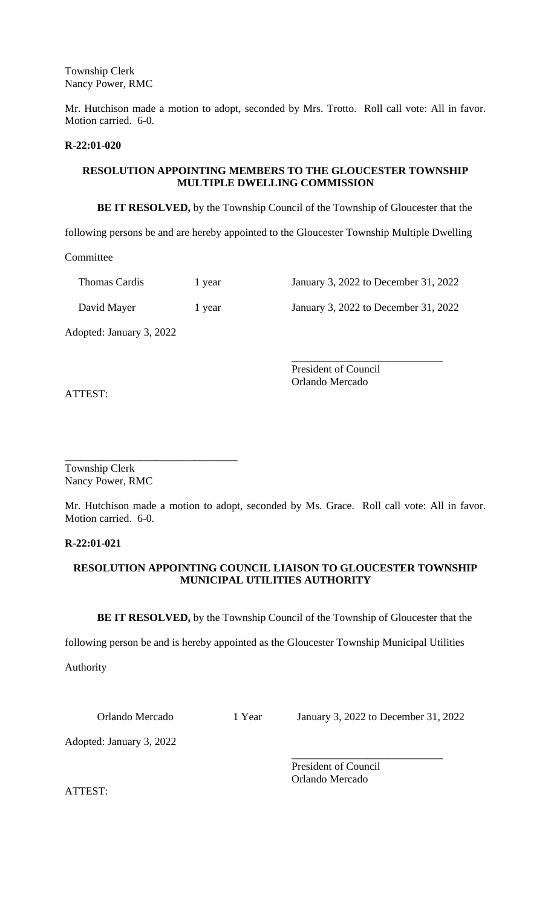Township Clerk Nancy Power, RMC

Mr. Hutchison made a motion to adopt, seconded by Mrs. Trotto. Roll call vote: All in favor. Motion carried. 6-0.

#### **R-22:01-020**

# **RESOLUTION APPOINTING MEMBERS TO THE GLOUCESTER TOWNSHIP MULTIPLE DWELLING COMMISSION**

**BE IT RESOLVED,** by the Township Council of the Township of Gloucester that the

following persons be and are hereby appointed to the Gloucester Township Multiple Dwelling

Committee

| <b>Thomas Cardis</b>     | 1 year | January 3, 2022 to December 31, 2022 |
|--------------------------|--------|--------------------------------------|
| David Mayer              | 1 year | January 3, 2022 to December 31, 2022 |
| Adopted: January 2, 2022 |        |                                      |

Adopted: January 3, 2022

ATTEST:

President of Council Orlando Mercado

\_\_\_\_\_\_\_\_\_\_\_\_\_\_\_\_\_\_\_\_\_\_\_\_\_\_\_\_

\_\_\_\_\_\_\_\_\_\_\_\_\_\_\_\_\_\_\_\_\_\_\_\_\_\_\_\_\_\_\_\_ Township Clerk Nancy Power, RMC

Mr. Hutchison made a motion to adopt, seconded by Ms. Grace. Roll call vote: All in favor. Motion carried. 6-0.

# **R-22:01-021**

# **RESOLUTION APPOINTING COUNCIL LIAISON TO GLOUCESTER TOWNSHIP MUNICIPAL UTILITIES AUTHORITY**

**BE IT RESOLVED,** by the Township Council of the Township of Gloucester that the

following person be and is hereby appointed as the Gloucester Township Municipal Utilities

Authority

Orlando Mercado 1 Year January 3, 2022 to December 31, 2022

\_\_\_\_\_\_\_\_\_\_\_\_\_\_\_\_\_\_\_\_\_\_\_\_\_\_\_\_

Adopted: January 3, 2022

President of Council Orlando Mercado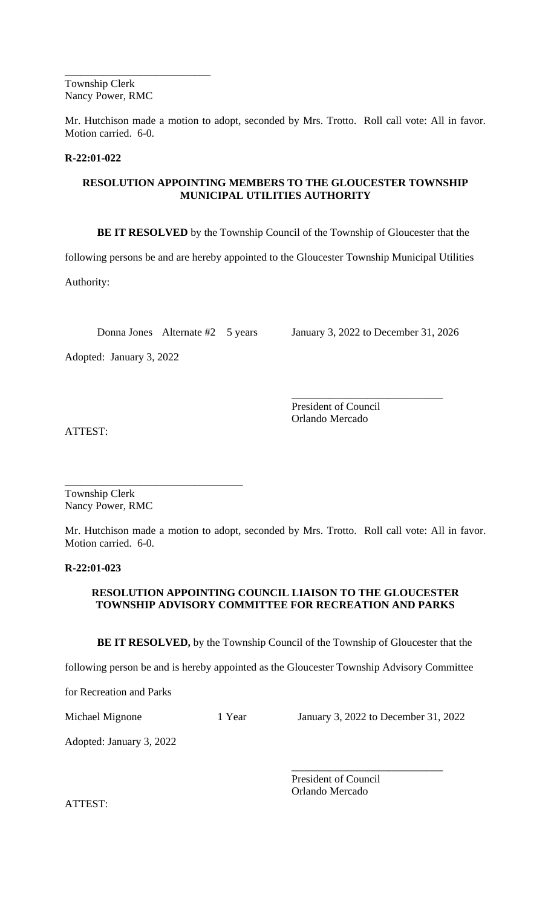\_\_\_\_\_\_\_\_\_\_\_\_\_\_\_\_\_\_\_\_\_\_\_\_\_\_\_ Township Clerk Nancy Power, RMC

Mr. Hutchison made a motion to adopt, seconded by Mrs. Trotto. Roll call vote: All in favor. Motion carried. 6-0.

# **R-22:01-022**

# **RESOLUTION APPOINTING MEMBERS TO THE GLOUCESTER TOWNSHIP MUNICIPAL UTILITIES AUTHORITY**

**BE IT RESOLVED** by the Township Council of the Township of Gloucester that the

following persons be and are hereby appointed to the Gloucester Township Municipal Utilities

Authority:

Donna Jones Alternate #2 5 years January 3, 2022 to December 31, 2026

Adopted: January 3, 2022

\_\_\_\_\_\_\_\_\_\_\_\_\_\_\_\_\_\_\_\_\_\_\_\_\_\_\_\_ President of Council Orlando Mercado

ATTEST:

\_\_\_\_\_\_\_\_\_\_\_\_\_\_\_\_\_\_\_\_\_\_\_\_\_\_\_\_\_\_\_\_\_ Township Clerk Nancy Power, RMC

Mr. Hutchison made a motion to adopt, seconded by Mrs. Trotto. Roll call vote: All in favor. Motion carried. 6-0.

**R-22:01-023**

# **RESOLUTION APPOINTING COUNCIL LIAISON TO THE GLOUCESTER TOWNSHIP ADVISORY COMMITTEE FOR RECREATION AND PARKS**

**BE IT RESOLVED,** by the Township Council of the Township of Gloucester that the

following person be and is hereby appointed as the Gloucester Township Advisory Committee

for Recreation and Parks

Michael Mignone 1 Year January 3, 2022 to December 31, 2022

\_\_\_\_\_\_\_\_\_\_\_\_\_\_\_\_\_\_\_\_\_\_\_\_\_\_\_\_

Adopted: January 3, 2022

President of Council Orlando Mercado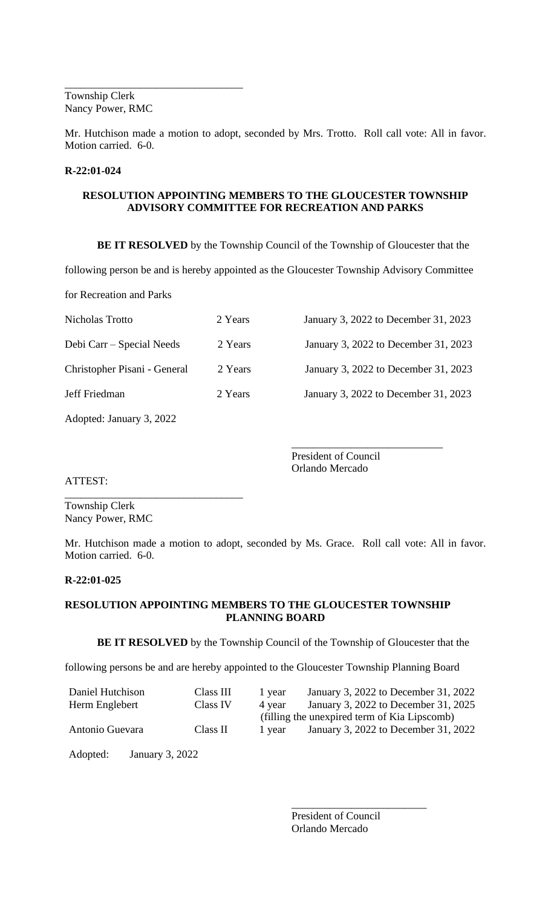\_\_\_\_\_\_\_\_\_\_\_\_\_\_\_\_\_\_\_\_\_\_\_\_\_\_\_\_\_\_\_\_\_ Township Clerk Nancy Power, RMC

Mr. Hutchison made a motion to adopt, seconded by Mrs. Trotto. Roll call vote: All in favor. Motion carried. 6-0.

#### **R-22:01-024**

### **RESOLUTION APPOINTING MEMBERS TO THE GLOUCESTER TOWNSHIP ADVISORY COMMITTEE FOR RECREATION AND PARKS**

**BE IT RESOLVED** by the Township Council of the Township of Gloucester that the

following person be and is hereby appointed as the Gloucester Township Advisory Committee

for Recreation and Parks

| Nicholas Trotto              | 2 Years | January 3, 2022 to December 31, 2023 |
|------------------------------|---------|--------------------------------------|
| Debi Carr – Special Needs    | 2 Years | January 3, 2022 to December 31, 2023 |
| Christopher Pisani - General | 2 Years | January 3, 2022 to December 31, 2023 |
| Jeff Friedman                | 2 Years | January 3, 2022 to December 31, 2023 |

Adopted: January 3, 2022

\_\_\_\_\_\_\_\_\_\_\_\_\_\_\_\_\_\_\_\_\_\_\_\_\_\_\_\_\_\_\_\_\_

\_\_\_\_\_\_\_\_\_\_\_\_\_\_\_\_\_\_\_\_\_\_\_\_\_\_\_\_ President of Council Orlando Mercado

ATTEST:

Township Clerk Nancy Power, RMC

Mr. Hutchison made a motion to adopt, seconded by Ms. Grace. Roll call vote: All in favor. Motion carried. 6-0.

# **R-22:01-025**

# **RESOLUTION APPOINTING MEMBERS TO THE GLOUCESTER TOWNSHIP PLANNING BOARD**

**BE IT RESOLVED** by the Township Council of the Township of Gloucester that the

following persons be and are hereby appointed to the Gloucester Township Planning Board

| Class III | 1 year | January 3, 2022 to December 31, 2022         |
|-----------|--------|----------------------------------------------|
| Class IV  | 4 year | January 3, 2022 to December 31, 2025         |
|           |        | (filling the unexpired term of Kia Lipscomb) |
| Class II  | 1 year | January 3, 2022 to December 31, 2022         |
|           |        |                                              |

Adopted: January 3, 2022

President of Council Orlando Mercado

\_\_\_\_\_\_\_\_\_\_\_\_\_\_\_\_\_\_\_\_\_\_\_\_\_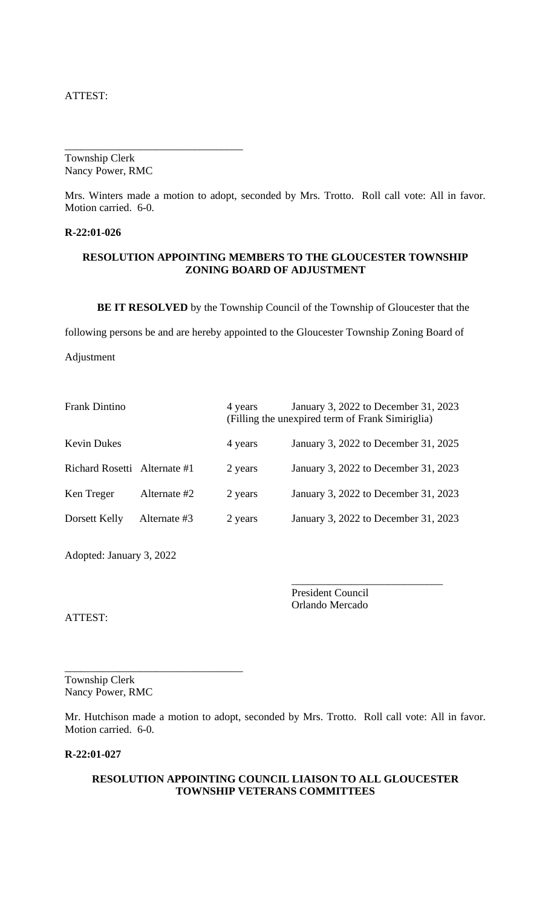ATTEST:

Township Clerk Nancy Power, RMC

\_\_\_\_\_\_\_\_\_\_\_\_\_\_\_\_\_\_\_\_\_\_\_\_\_\_\_\_\_\_\_\_\_

Mrs. Winters made a motion to adopt, seconded by Mrs. Trotto. Roll call vote: All in favor. Motion carried. 6-0.

#### **R-22:01-026**

#### **RESOLUTION APPOINTING MEMBERS TO THE GLOUCESTER TOWNSHIP ZONING BOARD OF ADJUSTMENT**

**BE IT RESOLVED** by the Township Council of the Township of Gloucester that the

following persons be and are hereby appointed to the Gloucester Township Zoning Board of

Adjustment

| <b>Frank Dintino</b>         |              | 4 years | January 3, 2022 to December 31, 2023<br>(Filling the unexpired term of Frank Simiriglia) |
|------------------------------|--------------|---------|------------------------------------------------------------------------------------------|
| <b>Kevin Dukes</b>           |              | 4 years | January 3, 2022 to December 31, 2025                                                     |
| Richard Rosetti Alternate #1 |              | 2 years | January 3, 2022 to December 31, 2023                                                     |
| Ken Treger                   | Alternate #2 | 2 years | January 3, 2022 to December 31, 2023                                                     |
| Dorsett Kelly                | Alternate #3 | 2 years | January 3, 2022 to December 31, 2023                                                     |

Adopted: January 3, 2022

President Council Orlando Mercado

\_\_\_\_\_\_\_\_\_\_\_\_\_\_\_\_\_\_\_\_\_\_\_\_\_\_\_\_

ATTEST:

Township Clerk Nancy Power, RMC

\_\_\_\_\_\_\_\_\_\_\_\_\_\_\_\_\_\_\_\_\_\_\_\_\_\_\_\_\_\_\_\_\_

Mr. Hutchison made a motion to adopt, seconded by Mrs. Trotto. Roll call vote: All in favor. Motion carried. 6-0.

### **R-22:01-027**

### **RESOLUTION APPOINTING COUNCIL LIAISON TO ALL GLOUCESTER TOWNSHIP VETERANS COMMITTEES**